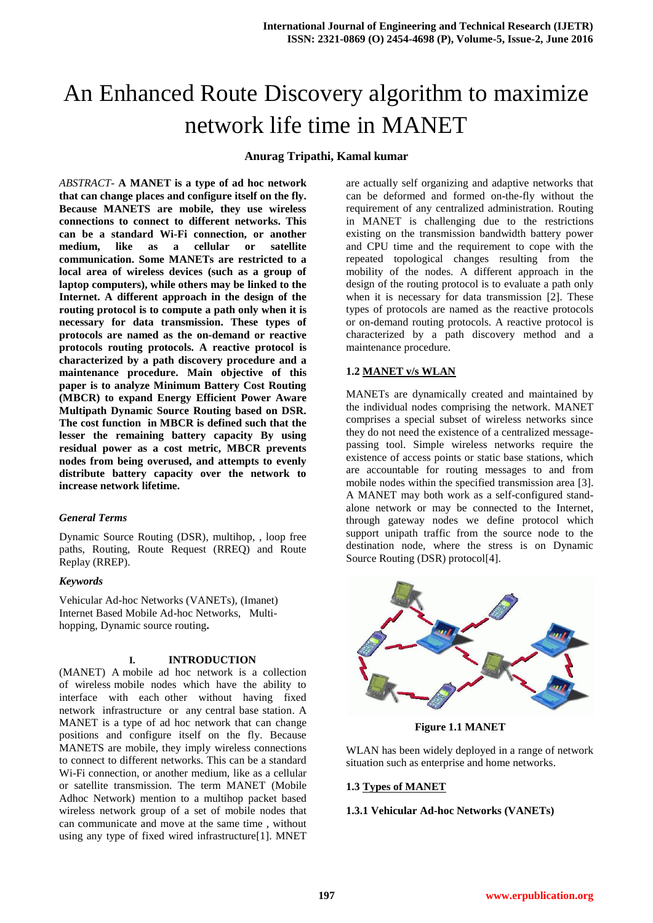# An Enhanced Route Discovery algorithm to maximize network life time in MANET

#### **Anurag Tripathi, Kamal kumar**

*ABSTRACT-* **A MANET is a type of ad hoc network that can change places and configure itself on the fly. Because MANETS are mobile, they use wireless connections to connect to different networks. This can be a standard Wi-Fi connection, or another medium, like as a cellular or satellite communication. Some MANETs are restricted to a local area of wireless devices (such as a group of laptop computers), while others may be linked to the Internet. A different approach in the design of the routing protocol is to compute a path only when it is necessary for data transmission. These types of protocols are named as the on-demand or reactive protocols routing protocols. A reactive protocol is characterized by a path discovery procedure and a maintenance procedure. Main objective of this paper is to analyze Minimum Battery Cost Routing (MBCR) to expand Energy Efficient Power Aware Multipath Dynamic Source Routing based on DSR. The cost function in MBCR is defined such that the lesser the remaining battery capacity By using residual power as a cost metric, MBCR prevents nodes from being overused, and attempts to evenly distribute battery capacity over the network to increase network lifetime.**

#### *General Terms*

Dynamic Source Routing (DSR), multihop, , loop free paths, Routing, Route Request (RREQ) and Route Replay (RREP).

#### *Keywords*

Vehicular Ad-hoc Networks (VANETs), (Imanet) Internet Based Mobile Ad-hoc Networks, Multihopping, Dynamic source routing**.**

#### **I. INTRODUCTION**

(MANET) A mobile ad hoc network is a collection of wireless mobile nodes which have the ability to interface with each other without having fixed network infrastructure or any central base station. A MANET is a type of ad hoc network that can change positions and configure itself on the fly. Because MANETS are mobile, they imply wireless connections to connect to different networks. This can be a standard Wi-Fi connection, or another medium, like as a cellular or satellite transmission. The term MANET (Mobile Adhoc Network) mention to a multihop packet based wireless network group of a set of mobile nodes that can communicate and move at the same time , without using any type of fixed wired infrastructure[1]. MNET

are actually self organizing and adaptive networks that can be deformed and formed on-the-fly without the requirement of any centralized administration. Routing in MANET is challenging due to the restrictions existing on the transmission bandwidth battery power and CPU time and the requirement to cope with the repeated topological changes resulting from the mobility of the nodes. A different approach in the design of the routing protocol is to evaluate a path only when it is necessary for data transmission [2]. These types of protocols are named as the reactive protocols or on-demand routing protocols. A reactive protocol is characterized by a path discovery method and a maintenance procedure.

#### **1.2 MANET v/s WLAN**

MANETs are dynamically created and maintained by the individual nodes comprising the network. MANET comprises a special subset of wireless networks since they do not need the existence of a centralized messagepassing tool. Simple wireless networks require the existence of access points or static base stations, which are accountable for routing messages to and from mobile nodes within the specified transmission area [3]. A MANET may both work as a self-configured standalone network or may be connected to the Internet, through gateway nodes we define protocol which support unipath traffic from the source node to the destination node, where the stress is on Dynamic Source Routing (DSR) protocol[4].



 **Figure 1.1 MANET**

WLAN has been widely deployed in a range of network situation such as enterprise and home networks.

#### **1.3 Types of MANET**

#### **1.3.1 Vehicular Ad-hoc Networks (VANETs)**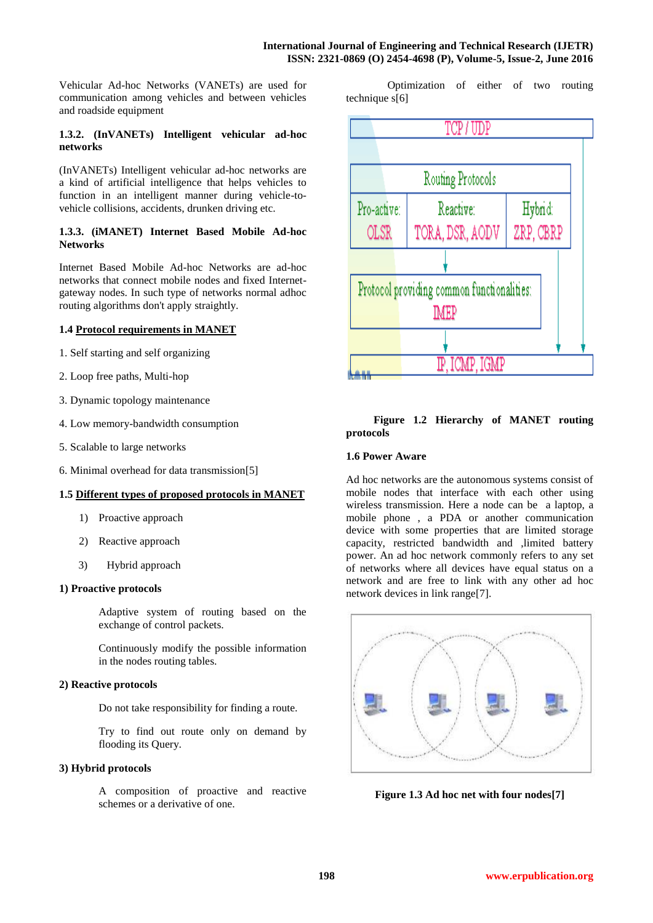Vehicular Ad-hoc Networks (VANETs) are used for communication among vehicles and between vehicles and roadside equipment

# **1.3.2. (InVANETs) Intelligent vehicular ad-hoc networks**

(InVANETs) Intelligent vehicular ad-hoc networks are a kind of artificial intelligence that helps vehicles to function in an intelligent manner during vehicle-tovehicle collisions, accidents, drunken driving etc.

# **1.3.3. (iMANET) Internet Based Mobile Ad-hoc Networks**

Internet Based Mobile Ad-hoc Networks are ad-hoc networks that connect mobile nodes and fixed Internetgateway nodes. In such type of networks normal adhoc routing algorithms don't apply straightly.

# **1.4 Protocol requirements in MANET**

- 1. Self starting and self organizing
- 2. Loop free paths, Multi-hop
- 3. Dynamic topology maintenance
- 4. Low memory-bandwidth consumption
- 5. Scalable to large networks
- 6. Minimal overhead for data transmission[5]

# **1.5 Different types of proposed protocols in MANET**

- 1) Proactive approach
- 2) Reactive approach
- 3) Hybrid approach

# **1) Proactive protocols**

Adaptive system of routing based on the exchange of control packets.

Continuously modify the possible information in the nodes routing tables.

# **2) Reactive protocols**

Do not take responsibility for finding a route.

Try to find out route only on demand by flooding its Query.

# **3) Hybrid protocols**

A composition of proactive and reactive schemes or a derivative of one.

 Optimization of either of two routing technique s[6]



# **Figure 1.2 Hierarchy of MANET routing protocols**

# **1.6 Power Aware**

Ad hoc networks are the autonomous systems consist of mobile nodes that interface with each other using wireless transmission. Here a node can be a laptop, a mobile phone , a PDA or another communication device with some properties that are limited storage capacity, restricted bandwidth and ,limited battery power. An ad hoc network commonly refers to any set of networks where all devices have equal status on a network and are free to link with any other ad hoc network devices in link range[7].



**Figure 1.3 Ad hoc net with four nodes[7]**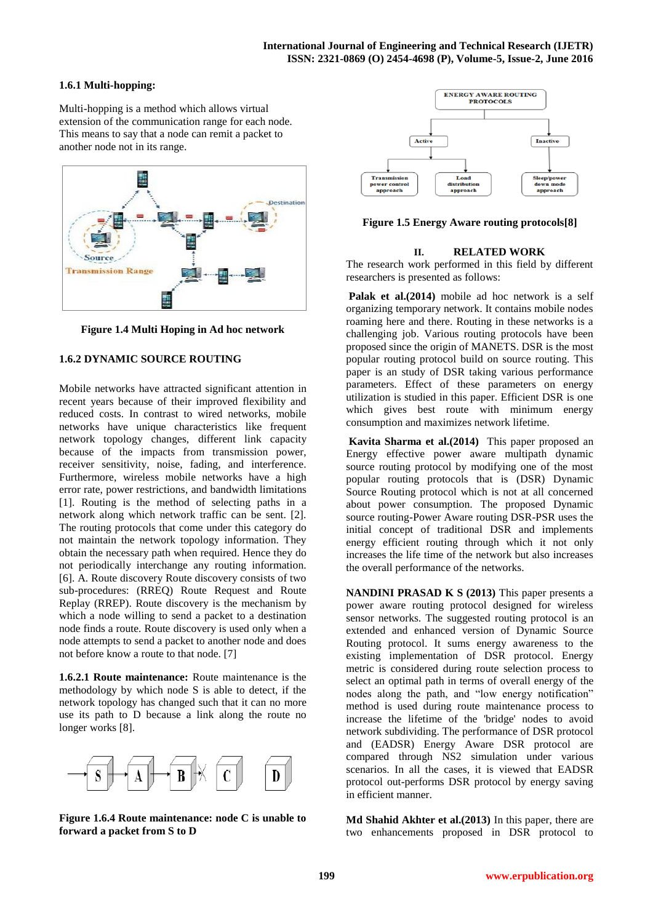# **1.6.1 Multi-hopping:**

Multi-hopping is a method which allows virtual extension of the communication range for each node. This means to say that a node can remit a packet to another node not in its range.



**Figure 1.4 Multi Hoping in Ad hoc network**

# **1.6.2 DYNAMIC SOURCE ROUTING**

Mobile networks have attracted significant attention in recent years because of their improved flexibility and reduced costs. In contrast to wired networks, mobile networks have unique characteristics like frequent network topology changes, different link capacity because of the impacts from transmission power, receiver sensitivity, noise, fading, and interference. Furthermore, wireless mobile networks have a high error rate, power restrictions, and bandwidth limitations [1]. Routing is the method of selecting paths in a network along which network traffic can be sent. [2]. The routing protocols that come under this category do not maintain the network topology information. They obtain the necessary path when required. Hence they do not periodically interchange any routing information. [6]. A. Route discovery Route discovery consists of two sub-procedures: (RREQ) Route Request and Route Replay (RREP). Route discovery is the mechanism by which a node willing to send a packet to a destination node finds a route. Route discovery is used only when a node attempts to send a packet to another node and does not before know a route to that node. [7]

**1.6.2.1 Route maintenance:** Route maintenance is the methodology by which node S is able to detect, if the network topology has changed such that it can no more use its path to D because a link along the route no longer works [8].



**Figure 1.6.4 Route maintenance: node C is unable to forward a packet from S to D**



**Figure 1.5 Energy Aware routing protocols[8]**

#### **II. RELATED WORK**

The research work performed in this field by different researchers is presented as follows:

Palak et al.(2014) mobile ad hoc network is a self organizing temporary network. It contains mobile nodes roaming here and there. Routing in these networks is a challenging job. Various routing protocols have been proposed since the origin of MANETS. DSR is the most popular routing protocol build on source routing. This paper is an study of DSR taking various performance parameters. Effect of these parameters on energy utilization is studied in this paper. Efficient DSR is one which gives best route with minimum energy consumption and maximizes network lifetime.

**Kavita Sharma et al.(2014)** This paper proposed an Energy effective power aware multipath dynamic source routing protocol by modifying one of the most popular routing protocols that is (DSR) Dynamic Source Routing protocol which is not at all concerned about power consumption. The proposed Dynamic source routing-Power Aware routing DSR-PSR uses the initial concept of traditional DSR and implements energy efficient routing through which it not only increases the life time of the network but also increases the overall performance of the networks.

**NANDINI PRASAD K S (2013)** This paper presents a power aware routing protocol designed for wireless sensor networks. The suggested routing protocol is an extended and enhanced version of Dynamic Source Routing protocol. It sums energy awareness to the existing implementation of DSR protocol. Energy metric is considered during route selection process to select an optimal path in terms of overall energy of the nodes along the path, and "low energy notification" method is used during route maintenance process to increase the lifetime of the 'bridge' nodes to avoid network subdividing. The performance of DSR protocol and (EADSR) Energy Aware DSR protocol are compared through NS2 simulation under various scenarios. In all the cases, it is viewed that EADSR protocol out-performs DSR protocol by energy saving in efficient manner.

**Md Shahid Akhter et al.(2013)** In this paper, there are two enhancements proposed in DSR protocol to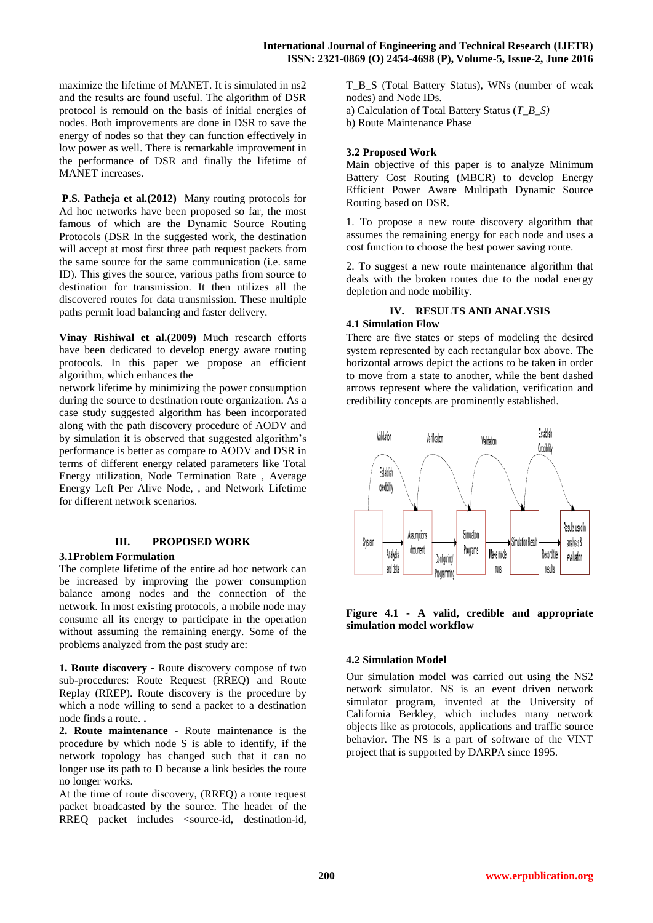maximize the lifetime of MANET. It is simulated in ns2 and the results are found useful. The algorithm of DSR protocol is remould on the basis of initial energies of nodes. Both improvements are done in DSR to save the energy of nodes so that they can function effectively in low power as well. There is remarkable improvement in the performance of DSR and finally the lifetime of MANET increases.

**P.S. Patheja et al.(2012)** Many routing protocols for Ad hoc networks have been proposed so far, the most famous of which are the Dynamic Source Routing Protocols (DSR In the suggested work, the destination will accept at most first three path request packets from the same source for the same communication (i.e. same ID). This gives the source, various paths from source to destination for transmission. It then utilizes all the discovered routes for data transmission. These multiple paths permit load balancing and faster delivery.

**Vinay Rishiwal et al.(2009)** Much research efforts have been dedicated to develop energy aware routing protocols. In this paper we propose an efficient algorithm, which enhances the

network lifetime by minimizing the power consumption during the source to destination route organization. As a case study suggested algorithm has been incorporated along with the path discovery procedure of AODV and by simulation it is observed that suggested algorithm's performance is better as compare to AODV and DSR in terms of different energy related parameters like Total Energy utilization, Node Termination Rate , Average Energy Left Per Alive Node, , and Network Lifetime for different network scenarios.

# **III. PROPOSED WORK**

#### **3.1Problem Formulation**

The complete lifetime of the entire ad hoc network can be increased by improving the power consumption balance among nodes and the connection of the network. In most existing protocols, a mobile node may consume all its energy to participate in the operation without assuming the remaining energy. Some of the problems analyzed from the past study are:

**1. Route discovery -** Route discovery compose of two sub-procedures: Route Request (RREQ) and Route Replay (RREP). Route discovery is the procedure by which a node willing to send a packet to a destination node finds a route. **.**

**2. Route maintenance** - Route maintenance is the procedure by which node S is able to identify, if the network topology has changed such that it can no longer use its path to D because a link besides the route no longer works.

At the time of route discovery, (RREQ) a route request packet broadcasted by the source. The header of the RREQ packet includes <source-id, destination-id, T\_B\_S (Total Battery Status), WNs (number of weak nodes) and Node IDs. a) Calculation of Total Battery Status (*T\_B\_S)*

b) Route Maintenance Phase

# **3.2 Proposed Work**

Main objective of this paper is to analyze Minimum Battery Cost Routing (MBCR) to develop Energy Efficient Power Aware Multipath Dynamic Source Routing based on DSR.

1. To propose a new route discovery algorithm that assumes the remaining energy for each node and uses a cost function to choose the best power saving route.

2. To suggest a new route maintenance algorithm that deals with the broken routes due to the nodal energy depletion and node mobility.

#### **IV. RESULTS AND ANALYSIS 4.1 Simulation Flow**

There are five states or steps of modeling the desired system represented by each rectangular box above. The horizontal arrows depict the actions to be taken in order to move from a state to another, while the bent dashed arrows represent where the validation, verification and credibility concepts are prominently established.



# **Figure 4.1 - A valid, credible and appropriate simulation model workflow**

# **4.2 Simulation Model**

Our simulation model was carried out using the NS2 network simulator. NS is an event driven network simulator program, invented at the University of California Berkley, which includes many network objects like as protocols, applications and traffic source behavior. The NS is a part of software of the VINT project that is supported by DARPA since 1995.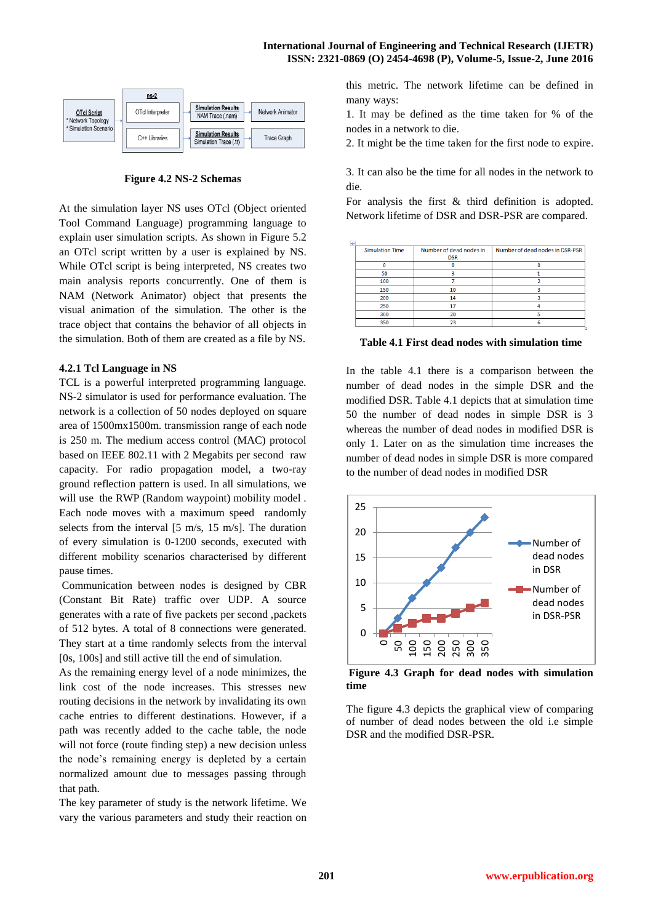

**Figure 4.2 NS-2 Schemas**

At the simulation layer NS uses OTcl (Object oriented Tool Command Language) programming language to explain user simulation scripts. As shown in Figure 5.2 an OTcl script written by a user is explained by NS. While OTcl script is being interpreted, NS creates two main analysis reports concurrently. One of them is NAM (Network Animator) object that presents the visual animation of the simulation. The other is the trace object that contains the behavior of all objects in the simulation. Both of them are created as a file by NS.

# **4.2.1 Tcl Language in NS**

TCL is a powerful interpreted programming language. NS-2 simulator is used for performance evaluation. The network is a collection of 50 nodes deployed on square area of 1500mx1500m. transmission range of each node is 250 m. The medium access control (MAC) protocol based on IEEE 802.11 with 2 Megabits per second raw capacity. For radio propagation model, a two-ray ground reflection pattern is used. In all simulations, we will use the RWP (Random waypoint) mobility model. Each node moves with a maximum speed randomly selects from the interval [5 m/s, 15 m/s]. The duration of every simulation is 0-1200 seconds, executed with different mobility scenarios characterised by different pause times.

Communication between nodes is designed by CBR (Constant Bit Rate) traffic over UDP. A source generates with a rate of five packets per second ,packets of 512 bytes. A total of 8 connections were generated. They start at a time randomly selects from the interval [0s, 100s] and still active till the end of simulation.

As the remaining energy level of a node minimizes, the link cost of the node increases. This stresses new routing decisions in the network by invalidating its own cache entries to different destinations. However, if a path was recently added to the cache table, the node will not force (route finding step) a new decision unless the node's remaining energy is depleted by a certain normalized amount due to messages passing through that path.

The key parameter of study is the network lifetime. We vary the various parameters and study their reaction on this metric. The network lifetime can be defined in many ways:

1. It may be defined as the time taken for % of the nodes in a network to die.

2. It might be the time taken for the first node to expire.

3. It can also be the time for all nodes in the network to die.

For analysis the first & third definition is adopted. Network lifetime of DSR and DSR-PSR are compared.

| $\overline{+}$ |                        |                                       |                                 |
|----------------|------------------------|---------------------------------------|---------------------------------|
|                | <b>Simulation Time</b> | Number of dead nodes in<br><b>DSR</b> | Number of dead nodes in DSR-PSR |
|                |                        |                                       |                                 |
|                | 50                     |                                       |                                 |
|                | 100                    |                                       |                                 |
|                | 150                    | 10                                    |                                 |
|                | 200                    | 14                                    |                                 |
|                | 250                    | 17                                    |                                 |
|                | 300                    | 20                                    |                                 |
|                | 350                    | 23                                    |                                 |

**Table 4.1 First dead nodes with simulation time**

In the table 4.1 there is a comparison between the number of dead nodes in the simple DSR and the modified DSR. Table 4.1 depicts that at simulation time 50 the number of dead nodes in simple DSR is 3 whereas the number of dead nodes in modified DSR is only 1. Later on as the simulation time increases the number of dead nodes in simple DSR is more compared to the number of dead nodes in modified DSR



**Figure 4.3 Graph for dead nodes with simulation time** 

The figure 4.3 depicts the graphical view of comparing of number of dead nodes between the old i.e simple DSR and the modified DSR-PSR.